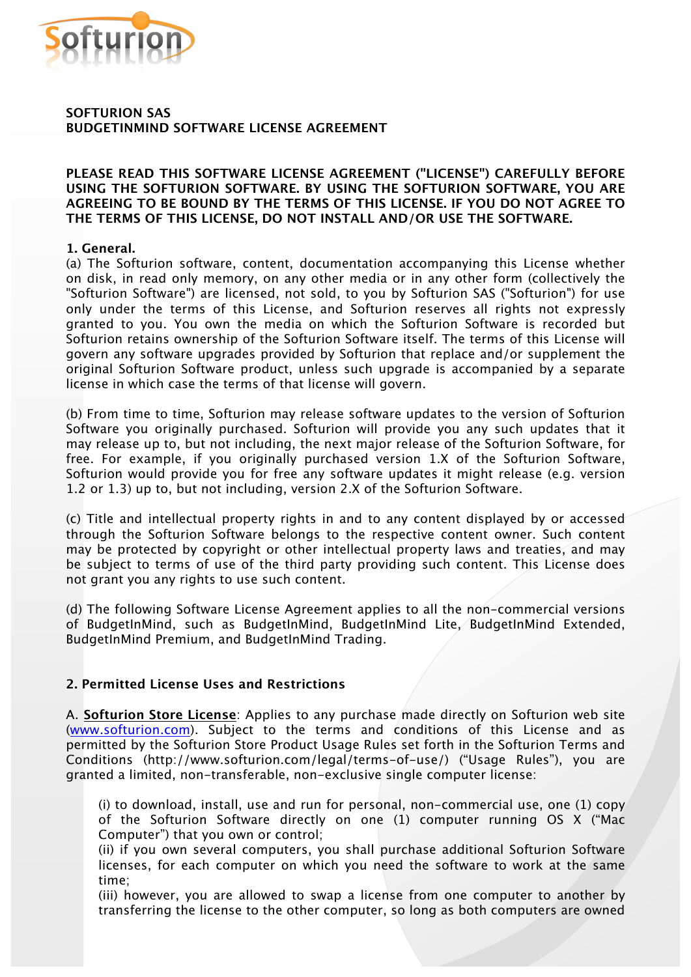

# **SOFTURION SAS BUDGETINMIND SOFTWARE LICENSE AGREEMENT**

### **PLEASE READ THIS SOFTWARE LICENSE AGREEMENT ("LICENSE") CAREFULLY BEFORE USING THE SOFTURION SOFTWARE. BY USING THE SOFTURION SOFTWARE, YOU ARE AGREEING TO BE BOUND BY THE TERMS OF THIS LICENSE. IF YOU DO NOT AGREE TO THE TERMS OF THIS LICENSE, DO NOT INSTALL AND/OR USE THE SOFTWARE.**

# **1. General.**

(a) The Softurion software, content, documentation accompanying this License whether on disk, in read only memory, on any other media or in any other form (collectively the "Softurion Software") are licensed, not sold, to you by Softurion SAS ("Softurion") for use only under the terms of this License, and Softurion reserves all rights not expressly granted to you. You own the media on which the Softurion Software is recorded but Softurion retains ownership of the Softurion Software itself. The terms of this License will govern any software upgrades provided by Softurion that replace and/or supplement the original Softurion Software product, unless such upgrade is accompanied by a separate license in which case the terms of that license will govern.

(b) From time to time, Softurion may release software updates to the version of Softurion Software you originally purchased. Softurion will provide you any such updates that it may release up to, but not including, the next major release of the Softurion Software, for free. For example, if you originally purchased version 1.X of the Softurion Software, Softurion would provide you for free any software updates it might release (e.g. version 1.2 or 1.3) up to, but not including, version 2.X of the Softurion Software.

(c) Title and intellectual property rights in and to any content displayed by or accessed through the Softurion Software belongs to the respective content owner. Such content may be protected by copyright or other intellectual property laws and treaties, and may be subject to terms of use of the third party providing such content. This License does not grant you any rights to use such content.

(d) The following Software License Agreement applies to all the non-commercial versions of BudgetInMind, such as BudgetInMind, BudgetInMind Lite, BudgetInMind Extended, BudgetInMind Premium, and BudgetInMind Trading.

# **2. Permitted License Uses and Restrictions**

A. **Softurion Store License**: Applies to any purchase made directly on Softurion web site (www.softurion.com). Subject to the terms and conditions of this License and as permitted by the Softurion Store Product Usage Rules set forth in the Softurion Terms and Conditions (http://www.softurion.com/legal/terms-of-use/) ("Usage Rules"), you are granted a limited, non-transferable, non-exclusive single computer license:

(i) to download, install, use and run for personal, non-commercial use, one (1) copy of the Softurion Software directly on one (1) computer running OS X ("Mac Computer") that you own or control;

(ii) if you own several computers, you shall purchase additional Softurion Software licenses, for each computer on which you need the software to work at the same time;

(iii) however, you are allowed to swap a license from one computer to another by transferring the license to the other computer, so long as both computers are owned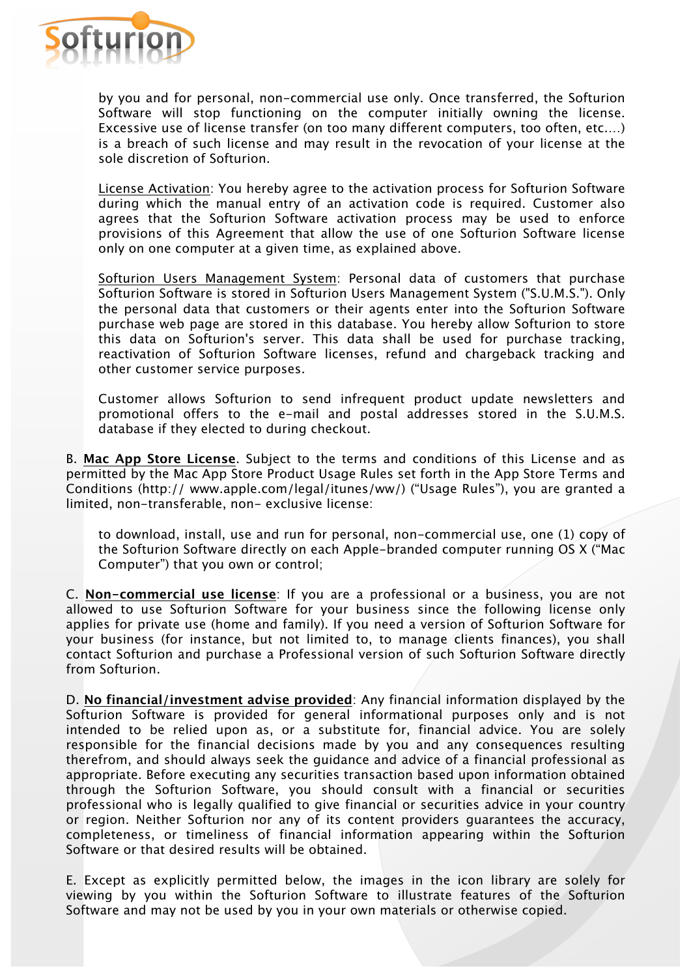

by you and for personal, non-commercial use only. Once transferred, the Softurion Software will stop functioning on the computer initially owning the license. Excessive use of license transfer (on too many different computers, too often, etc.…) is a breach of such license and may result in the revocation of your license at the sole discretion of Softurion.

License Activation: You hereby agree to the activation process for Softurion Software during which the manual entry of an activation code is required. Customer also agrees that the Softurion Software activation process may be used to enforce provisions of this Agreement that allow the use of one Softurion Software license only on one computer at a given time, as explained above.

Softurion Users Management System: Personal data of customers that purchase Softurion Software is stored in Softurion Users Management System ("S.U.M.S."). Only the personal data that customers or their agents enter into the Softurion Software purchase web page are stored in this database. You hereby allow Softurion to store this data on Softurion's server. This data shall be used for purchase tracking, reactivation of Softurion Software licenses, refund and chargeback tracking and other customer service purposes.

Customer allows Softurion to send infrequent product update newsletters and promotional offers to the e-mail and postal addresses stored in the S.U.M.S. database if they elected to during checkout.

B. **Mac App Store License**. Subject to the terms and conditions of this License and as permitted by the Mac App Store Product Usage Rules set forth in the App Store Terms and Conditions (http:// www.apple.com/legal/itunes/ww/) ("Usage Rules"), you are granted a limited, non-transferable, non- exclusive license:

to download, install, use and run for personal, non-commercial use, one (1) copy of the Softurion Software directly on each Apple-branded computer running OS X ("Mac Computer") that you own or control;

C. **Non-commercial use license**: If you are a professional or a business, you are not allowed to use Softurion Software for your business since the following license only applies for private use (home and family). If you need a version of Softurion Software for your business (for instance, but not limited to, to manage clients finances), you shall contact Softurion and purchase a Professional version of such Softurion Software directly from Softurion.

D. **No financial/investment advise provided**: Any financial information displayed by the Softurion Software is provided for general informational purposes only and is not intended to be relied upon as, or a substitute for, financial advice. You are solely responsible for the financial decisions made by you and any consequences resulting therefrom, and should always seek the guidance and advice of a financial professional as appropriate. Before executing any securities transaction based upon information obtained through the Softurion Software, you should consult with a financial or securities professional who is legally qualified to give financial or securities advice in your country or region. Neither Softurion nor any of its content providers guarantees the accuracy, completeness, or timeliness of financial information appearing within the Softurion Software or that desired results will be obtained.

E. Except as explicitly permitted below, the images in the icon library are solely for viewing by you within the Softurion Software to illustrate features of the Softurion Software and may not be used by you in your own materials or otherwise copied.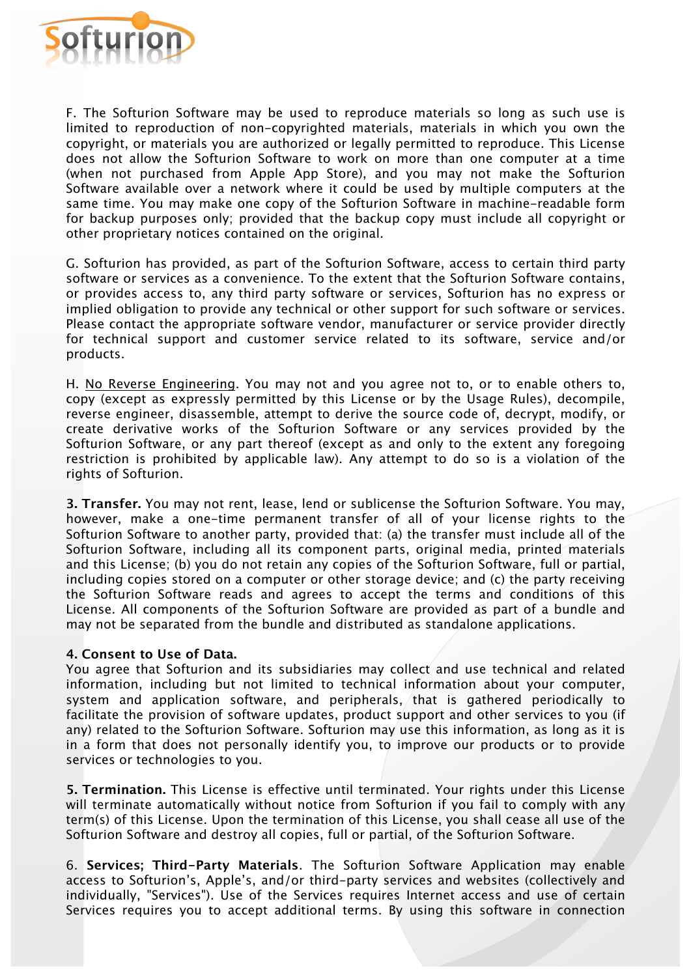

F. The Softurion Software may be used to reproduce materials so long as such use is limited to reproduction of non-copyrighted materials, materials in which you own the copyright, or materials you are authorized or legally permitted to reproduce. This License does not allow the Softurion Software to work on more than one computer at a time (when not purchased from Apple App Store), and you may not make the Softurion Software available over a network where it could be used by multiple computers at the same time. You may make one copy of the Softurion Software in machine-readable form for backup purposes only; provided that the backup copy must include all copyright or other proprietary notices contained on the original.

G. Softurion has provided, as part of the Softurion Software, access to certain third party software or services as a convenience. To the extent that the Softurion Software contains, or provides access to, any third party software or services, Softurion has no express or implied obligation to provide any technical or other support for such software or services. Please contact the appropriate software vendor, manufacturer or service provider directly for technical support and customer service related to its software, service and/or products.

H. No Reverse Engineering. You may not and you agree not to, or to enable others to, copy (except as expressly permitted by this License or by the Usage Rules), decompile, reverse engineer, disassemble, attempt to derive the source code of, decrypt, modify, or create derivative works of the Softurion Software or any services provided by the Softurion Software, or any part thereof (except as and only to the extent any foregoing restriction is prohibited by applicable law). Any attempt to do so is a violation of the rights of Softurion.

**3. Transfer.** You may not rent, lease, lend or sublicense the Softurion Software. You may, however, make a one-time permanent transfer of all of your license rights to the Softurion Software to another party, provided that: (a) the transfer must include all of the Softurion Software, including all its component parts, original media, printed materials and this License; (b) you do not retain any copies of the Softurion Software, full or partial, including copies stored on a computer or other storage device; and (c) the party receiving the Softurion Software reads and agrees to accept the terms and conditions of this License. All components of the Softurion Software are provided as part of a bundle and may not be separated from the bundle and distributed as standalone applications.

#### **4. Consent to Use of Data.**

You agree that Softurion and its subsidiaries may collect and use technical and related information, including but not limited to technical information about your computer, system and application software, and peripherals, that is gathered periodically to facilitate the provision of software updates, product support and other services to you (if any) related to the Softurion Software. Softurion may use this information, as long as it is in a form that does not personally identify you, to improve our products or to provide services or technologies to you.

**5. Termination.** This License is effective until terminated. Your rights under this License will terminate automatically without notice from Softurion if you fail to comply with any term(s) of this License. Upon the termination of this License, you shall cease all use of the Softurion Software and destroy all copies, full or partial, of the Softurion Software.

6. **Services; Third-Party Materials**. The Softurion Software Application may enable access to Softurion's, Apple's, and/or third-party services and websites (collectively and individually, "Services"). Use of the Services requires Internet access and use of certain Services requires you to accept additional terms. By using this software in connection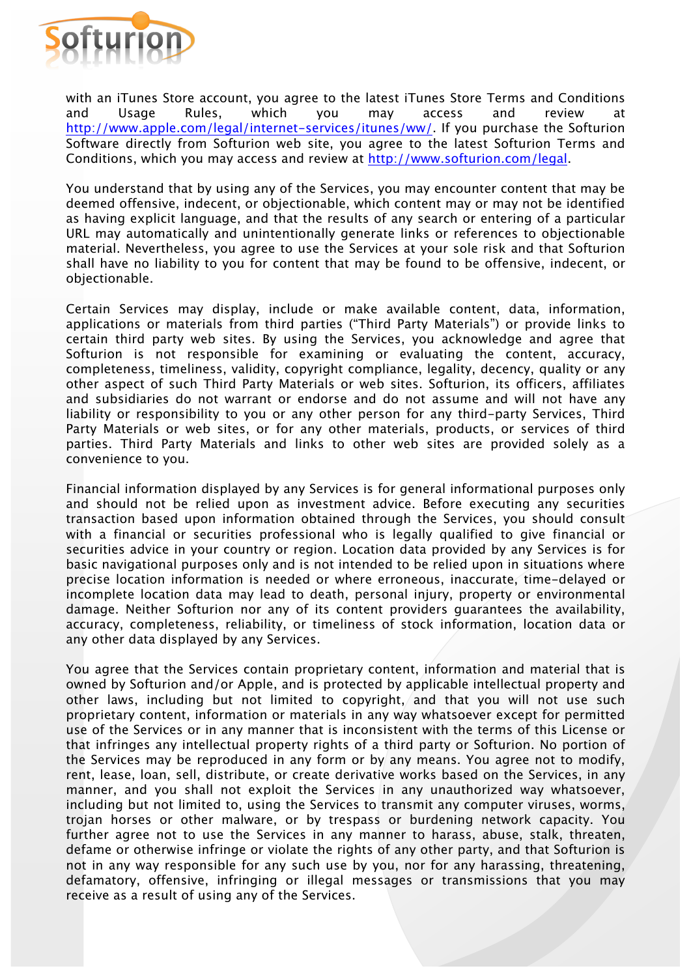

with an iTunes Store account, you agree to the latest iTunes Store Terms and Conditions and Usage Rules, which you may access and review at http://www.apple.com/legal/internet-services/itunes/ww/. If you purchase the Softurion Software directly from Softurion web site, you agree to the latest Softurion Terms and Conditions, which you may access and review at http://www.softurion.com/legal.

You understand that by using any of the Services, you may encounter content that may be deemed offensive, indecent, or objectionable, which content may or may not be identified as having explicit language, and that the results of any search or entering of a particular URL may automatically and unintentionally generate links or references to objectionable material. Nevertheless, you agree to use the Services at your sole risk and that Softurion shall have no liability to you for content that may be found to be offensive, indecent, or objectionable.

Certain Services may display, include or make available content, data, information, applications or materials from third parties ("Third Party Materials") or provide links to certain third party web sites. By using the Services, you acknowledge and agree that Softurion is not responsible for examining or evaluating the content, accuracy, completeness, timeliness, validity, copyright compliance, legality, decency, quality or any other aspect of such Third Party Materials or web sites. Softurion, its officers, affiliates and subsidiaries do not warrant or endorse and do not assume and will not have any liability or responsibility to you or any other person for any third-party Services, Third Party Materials or web sites, or for any other materials, products, or services of third parties. Third Party Materials and links to other web sites are provided solely as a convenience to you.

Financial information displayed by any Services is for general informational purposes only and should not be relied upon as investment advice. Before executing any securities transaction based upon information obtained through the Services, you should consult with a financial or securities professional who is legally qualified to give financial or securities advice in your country or region. Location data provided by any Services is for basic navigational purposes only and is not intended to be relied upon in situations where precise location information is needed or where erroneous, inaccurate, time-delayed or incomplete location data may lead to death, personal injury, property or environmental damage. Neither Softurion nor any of its content providers guarantees the availability, accuracy, completeness, reliability, or timeliness of stock information, location data or any other data displayed by any Services.

You agree that the Services contain proprietary content, information and material that is owned by Softurion and/or Apple, and is protected by applicable intellectual property and other laws, including but not limited to copyright, and that you will not use such proprietary content, information or materials in any way whatsoever except for permitted use of the Services or in any manner that is inconsistent with the terms of this License or that infringes any intellectual property rights of a third party or Softurion. No portion of the Services may be reproduced in any form or by any means. You agree not to modify, rent, lease, loan, sell, distribute, or create derivative works based on the Services, in any manner, and you shall not exploit the Services in any unauthorized way whatsoever, including but not limited to, using the Services to transmit any computer viruses, worms, trojan horses or other malware, or by trespass or burdening network capacity. You further agree not to use the Services in any manner to harass, abuse, stalk, threaten, defame or otherwise infringe or violate the rights of any other party, and that Softurion is not in any way responsible for any such use by you, nor for any harassing, threatening, defamatory, offensive, infringing or illegal messages or transmissions that you may receive as a result of using any of the Services.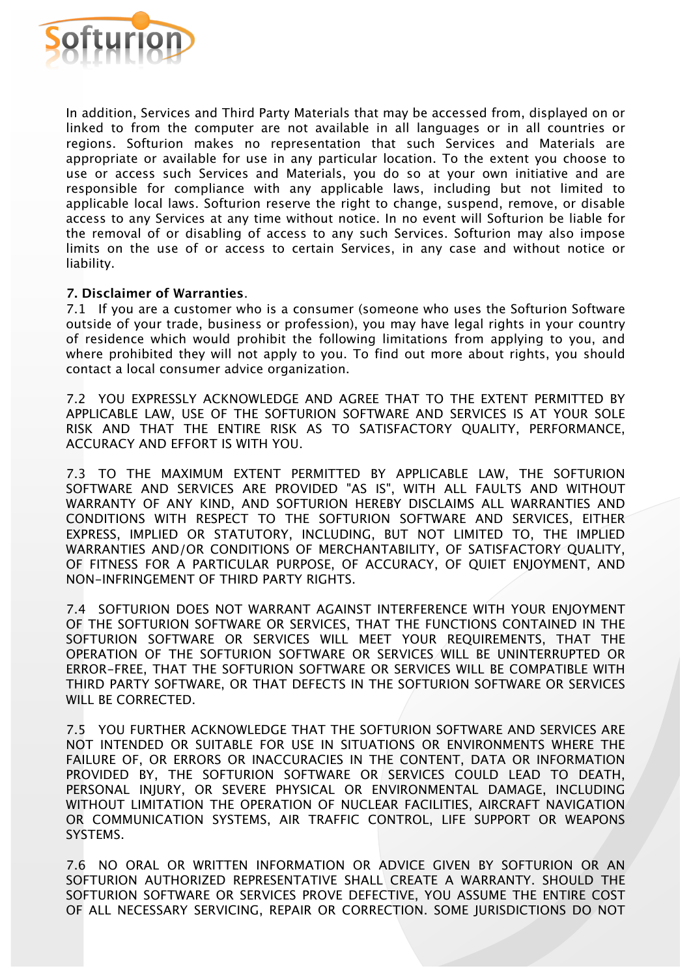

In addition, Services and Third Party Materials that may be accessed from, displayed on or linked to from the computer are not available in all languages or in all countries or regions. Softurion makes no representation that such Services and Materials are appropriate or available for use in any particular location. To the extent you choose to use or access such Services and Materials, you do so at your own initiative and are responsible for compliance with any applicable laws, including but not limited to applicable local laws. Softurion reserve the right to change, suspend, remove, or disable access to any Services at any time without notice. In no event will Softurion be liable for the removal of or disabling of access to any such Services. Softurion may also impose limits on the use of or access to certain Services, in any case and without notice or liability.

#### **7. Disclaimer of Warranties**.

7.1 If you are a customer who is a consumer (someone who uses the Softurion Software outside of your trade, business or profession), you may have legal rights in your country of residence which would prohibit the following limitations from applying to you, and where prohibited they will not apply to you. To find out more about rights, you should contact a local consumer advice organization.

7.2 YOU EXPRESSLY ACKNOWLEDGE AND AGREE THAT TO THE EXTENT PERMITTED BY APPLICABLE LAW, USE OF THE SOFTURION SOFTWARE AND SERVICES IS AT YOUR SOLE RISK AND THAT THE ENTIRE RISK AS TO SATISFACTORY QUALITY, PERFORMANCE, ACCURACY AND EFFORT IS WITH YOU.

7.3 TO THE MAXIMUM EXTENT PERMITTED BY APPLICABLE LAW, THE SOFTURION SOFTWARE AND SERVICES ARE PROVIDED "AS IS", WITH ALL FAULTS AND WITHOUT WARRANTY OF ANY KIND, AND SOFTURION HEREBY DISCLAIMS ALL WARRANTIES AND CONDITIONS WITH RESPECT TO THE SOFTURION SOFTWARE AND SERVICES, EITHER EXPRESS, IMPLIED OR STATUTORY, INCLUDING, BUT NOT LIMITED TO, THE IMPLIED WARRANTIES AND/OR CONDITIONS OF MERCHANTABILITY, OF SATISFACTORY QUALITY, OF FITNESS FOR A PARTICULAR PURPOSE, OF ACCURACY, OF QUIET ENJOYMENT, AND NON-INFRINGEMENT OF THIRD PARTY RIGHTS.

7.4 SOFTURION DOES NOT WARRANT AGAINST INTERFERENCE WITH YOUR ENJOYMENT OF THE SOFTURION SOFTWARE OR SERVICES, THAT THE FUNCTIONS CONTAINED IN THE SOFTURION SOFTWARE OR SERVICES WILL MEET YOUR REQUIREMENTS, THAT THE OPERATION OF THE SOFTURION SOFTWARE OR SERVICES WILL BE UNINTERRUPTED OR ERROR-FREE, THAT THE SOFTURION SOFTWARE OR SERVICES WILL BE COMPATIBLE WITH THIRD PARTY SOFTWARE, OR THAT DEFECTS IN THE SOFTURION SOFTWARE OR SERVICES WILL BE CORRECTED.

7.5 YOU FURTHER ACKNOWLEDGE THAT THE SOFTURION SOFTWARE AND SERVICES ARE NOT INTENDED OR SUITABLE FOR USE IN SITUATIONS OR ENVIRONMENTS WHERE THE FAILURE OF, OR ERRORS OR INACCURACIES IN THE CONTENT, DATA OR INFORMATION PROVIDED BY, THE SOFTURION SOFTWARE OR SERVICES COULD LEAD TO DEATH, PERSONAL INJURY, OR SEVERE PHYSICAL OR ENVIRONMENTAL DAMAGE, INCLUDING WITHOUT LIMITATION THE OPERATION OF NUCLEAR FACILITIES, AIRCRAFT NAVIGATION OR COMMUNICATION SYSTEMS, AIR TRAFFIC CONTROL, LIFE SUPPORT OR WEAPONS SYSTEMS.

7.6 NO ORAL OR WRITTEN INFORMATION OR ADVICE GIVEN BY SOFTURION OR AN SOFTURION AUTHORIZED REPRESENTATIVE SHALL CREATE A WARRANTY. SHOULD THE SOFTURION SOFTWARE OR SERVICES PROVE DEFECTIVE, YOU ASSUME THE ENTIRE COST OF ALL NECESSARY SERVICING, REPAIR OR CORRECTION. SOME JURISDICTIONS DO NOT